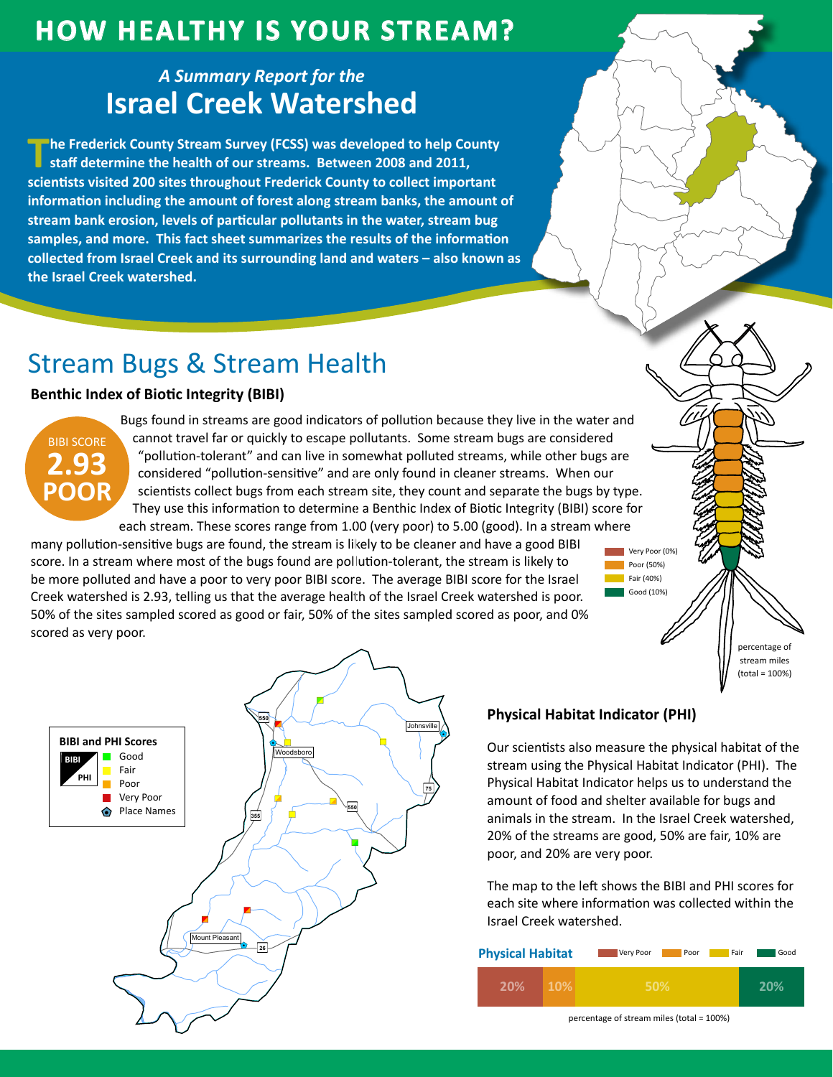# **How HealtHy is Your Stream?**

## *A Summary Report for the* **Israel Creek Watershed**

**The Frederick County Stream Survey (FCSS) was developed to help County <br><b>Staff determine the health of our streams.** Between 2008 and 2011, **scientists visited 200 sites throughout Frederick County to collect important information including the amount of forest along stream banks, the amount of stream bank erosion, levels of particular pollutants in the water, stream bug samples, and more. This fact sheet summarizes the results of the information collected from Israel Creek and its surrounding land and waters – also known as the Israel Creek watershed.**

# Stream Bugs & Stream Health

### **Benthic Index of Biotic Integrity (BIBI)**



Bugs found in streams are good indicators of pollution because they live in the water and cannot travel far or quickly to escape pollutants. Some stream bugs are considered "pollution-tolerant" and can live in somewhat polluted streams, while other bugs are considered "pollution-sensitive" and are only found in cleaner streams. When our scientists collect bugs from each stream site, they count and separate the bugs by type. They use this information to determine a Benthic Index of Biotic Integrity (BIBI) score for each stream. These scores range from 1.00 (very poor) to 5.00 (good). In a stream where

many pollution-sensitive bugs are found, the stream is likely to be cleaner and have a good BIBI score. In a stream where most of the bugs found are pollution-tolerant, the stream is likely to be more polluted and have a poor to very poor BIBI score. The average BIBI score for the Israel Creek watershed is 2.93, telling us that the average health of the Israel Creek watershed is poor. 50% of the sites sampled scored as good or fair, 50% of the sites sampled scored as poor, and 0% scored as very poor. scored as very poor.



"

### **Physical Habitat Indicator (PHI)**

Our scientists also measure the physical habitat of the stream using the Physical Habitat Indicator (PHI). The Physical Habitat Indicator helps us to understand the amount of food and shelter available for bugs and animals in the stream. In the Israel Creek watershed, 20% of the streams are good, 50% are fair, 10% are poor, and 20% are very poor.

Very Poor (0%) Poor (50%) Fair (40%) Good (10%)

> percentage of stream miles (total = 100%)

The map to the left shows the BIBI and PHI scores for each site where information was collected within the Israel Creek watershed.

| <b>Physical Habitat</b> |            | Very Poor<br>Poor | Fair | Good |
|-------------------------|------------|-------------------|------|------|
| 20%                     | <b>10%</b> | 50%               |      |      |

percentage of stream miles (total = 100%)